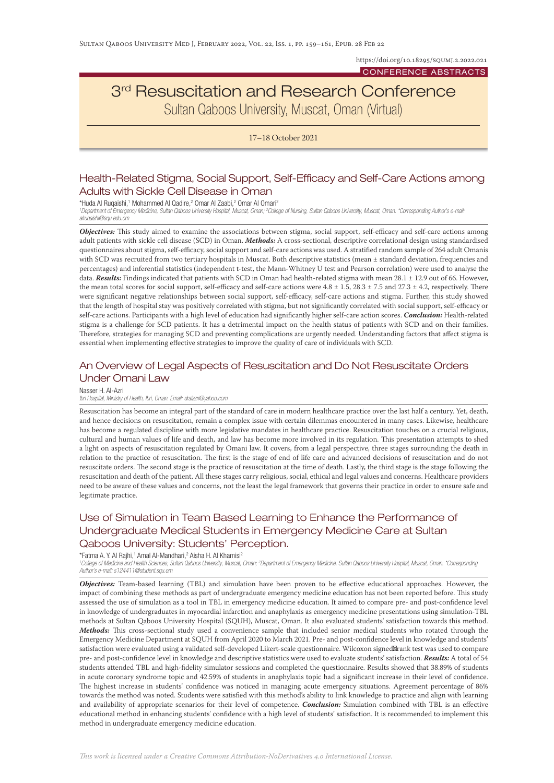https://doi.org/10.18295/SQUMJ.2.2022.021

#### CONFERENCE ABSTRACTS

# 3<sup>rd</sup> Resuscitation and Research Conference Sultan Qaboos University, Muscat, Oman (Virtual)

17–18 October 2021

## Health-Related Stigma, Social Support, Self-Efficacy and Self-Care Actions among Adults with Sickle Cell Disease in Oman

\*Huda Al Ruqaishi,<sup>1</sup> Mohammed Al Qadire,<sup>2</sup> Omar Al Zaabi,<sup>2</sup> Omar Al Omari<sup>2</sup> <sup>1</sup> Department of Emergency Medicine, Sultan Qaboos University Hospital, Muscat, Oman; <sup>2</sup>College of Nursing, Sultan Qaboos University, Muscat, Oman. \*Corresponding Author's e-mail: *alruqaishi@squ.edu.om*

*Objectives:* This study aimed to examine the associations between stigma, social support, self-efficacy and self-care actions among adult patients with sickle cell disease (SCD) in Oman. *Methods:* A cross-sectional, descriptive correlational design using standardised questionnaires about stigma, self-efficacy, social support and self-care actions was used. A stratified random sample of 264 adult Omanis with SCD was recruited from two tertiary hospitals in Muscat. Both descriptive statistics (mean ± standard deviation, frequencies and percentages) and inferential statistics (independent t-test, the Mann-Whitney U test and Pearson correlation) were used to analyse the data. *Results:* Findings indicated that patients with SCD in Oman had health-related stigma with mean 28.1 ± 12.9 out of 66. However, the mean total scores for social support, self-efficacy and self-care actions were  $4.8 \pm 1.5$ ,  $28.3 \pm 7.5$  and  $27.3 \pm 4.2$ , respectively. There were significant negative relationships between social support, self-efficacy, self-care actions and stigma. Further, this study showed that the length of hospital stay was positively correlated with stigma, but not significantly correlated with social support, self-efficacy or self-care actions. Participants with a high level of education had significantly higher self-care action scores. *Conclusion:* Health-related stigma is a challenge for SCD patients. It has a detrimental impact on the health status of patients with SCD and on their families. Therefore, strategies for managing SCD and preventing complications are urgently needed. Understanding factors that affect stigma is essential when implementing effective strategies to improve the quality of care of individuals with SCD.

## An Overview of Legal Aspects of Resuscitation and Do Not Resuscitate Orders Under Omani Law

Nasser H. Al-Azri

#### *Ibri Hospital, Ministry of Health, Ibri, Oman. Email: dralazri@yahoo.com*

Resuscitation has become an integral part of the standard of care in modern healthcare practice over the last half a century. Yet, death, and hence decisions on resuscitation, remain a complex issue with certain dilemmas encountered in many cases. Likewise, healthcare has become a regulated discipline with more legislative mandates in healthcare practice. Resuscitation touches on a crucial religious, cultural and human values of life and death, and law has become more involved in its regulation. This presentation attempts to shed a light on aspects of resuscitation regulated by Omani law. It covers, from a legal perspective, three stages surrounding the death in relation to the practice of resuscitation. The first is the stage of end of life care and advanced decisions of resuscitation and do not resuscitate orders. The second stage is the practice of resuscitation at the time of death. Lastly, the third stage is the stage following the resuscitation and death of the patient. All these stages carry religious, social, ethical and legal values and concerns. Healthcare providers need to be aware of these values and concerns, not the least the legal framework that governs their practice in order to ensure safe and legitimate practice.

## Use of Simulation in Team Based Learning to Enhance the Performance of Undergraduate Medical Students in Emergency Medicine Care at Sultan Qaboos University: Students' Perception.

#### \*Fatma A. Y. Al Rajhi,1 Amal Al-Mandhari,<sup>2</sup> Aisha H. Al Khamisi<sup>2</sup>

<sup>1</sup> College of Medicine and Health Sciences, Sultan Qaboos University, Muscat, Oman; <sup>2</sup>Department of Emergency Medicine, Sultan Qaboos University Hospital, Muscat, Oman. \*Corresponding *Author's e-mail: s124411@student.squ.om*

*Objectives:* Team-based learning (TBL) and simulation have been proven to be effective educational approaches. However, the impact of combining these methods as part of undergraduate emergency medicine education has not been reported before. This study assessed the use of simulation as a tool in TBL in emergency medicine education. It aimed to compare pre- and post-confidence level in knowledge of undergraduates in myocardial infarction and anaphylaxis as emergency medicine presentations using simulation-TBL methods at Sultan Qaboos University Hospital (SQUH), Muscat, Oman. It also evaluated students' satisfaction towards this method. *Methods:* This cross-sectional study used a convenience sample that included senior medical students who rotated through the Emergency Medicine Department at SQUH from April 2020 to March 2021. Pre- and post-confidence level in knowledge and students' satisfaction were evaluated using a validated self-developed Likert-scale questionnaire. Wilcoxon signed rank test was used to compare pre- and post-confidence level in knowledge and descriptive statistics were used to evaluate students' satisfaction. *Results:* A total of 54 students attended TBL and high-fidelity simulator sessions and completed the questionnaire. Results showed that 38.89% of students in acute coronary syndrome topic and 42.59% of students in anaphylaxis topic had a significant increase in their level of confidence. The highest increase in students' confidence was noticed in managing acute emergency situations. Agreement percentage of 86% towards the method was noted. Students were satisfied with this method's ability to link knowledge to practice and align with learning and availability of appropriate scenarios for their level of competence. *Conclusion:* Simulation combined with TBL is an effective educational method in enhancing students' confidence with a high level of students' satisfaction. It is recommended to implement this method in undergraduate emergency medicine education.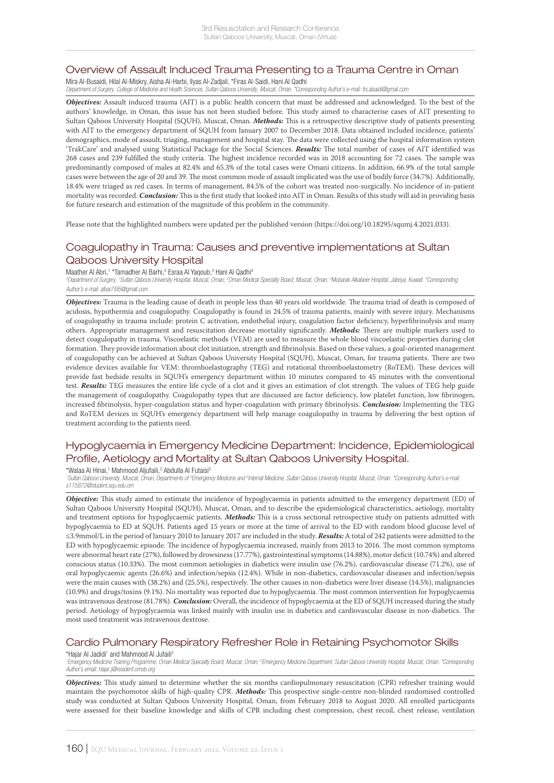#### Overview of Assault Induced Trauma Presenting to a Trauma Centre in Oman

Mira Al-Busaidi, Hilal Al-Miskry, Aisha Al-Harbi, Ilyas Al-Zadjali, \*Firas Al-Saidi, Hani Al Qadhi

*Department of Surgery, College of Medicine and Health Sciences, Sultan Qaboos University, Muscat, Oman. \*Corresponding Author's e-mail: frs.alsaidi@gmail.com*

*Objectives:* Assault induced trauma (AIT) is a public health concern that must be addressed and acknowledged. To the best of the authors' knowledge, in Oman, this issue has not been studied before. This study aimed to characterise cases of AIT presenting to Sultan Qaboos University Hospital (SQUH), Muscat, Oman. *Methods:* This is a retrospective descriptive study of patients presenting with AIT to the emergency department of SQUH from January 2007 to December 2018. Data obtained included incidence, patients' demographics, mode of assault, triaging, management and hospital stay. The data were collected using the hospital information system 'TrakCare' and analysed using Statistical Package for the Social Sciences. *Results:* The total number of cases of AIT identified was 268 cases and 239 fulfilled the study criteria. The highest incidence recorded was in 2018 accounting for 72 cases. The sample was predominantly composed of males at 82.4% and 65.3% of the total cases were Omani citizens. In addition, 66.9% of the total sample cases were between the age of 20 and 39. The most common mode of assault implicated was the use of bodily force (34.7%). Additionally, 18.4% were triaged as red cases. In terms of management, 84.5% of the cohort was treated non-surgically. No incidence of in-patient mortality was recorded. *Conclusion:* This is the first study that looked into AIT in Oman. Results of this study will aid in providing basis for future research and estimation of the magnitude of this problem in the community.

Please note that the highlighted numbers were updated per the published version (https://doi.org/10.18295/squmj.4.2021.033).

### Coagulopathy in Trauma: Causes and preventive implementations at Sultan Qaboos University Hospital

#### Maather Al Abri,<sup>1</sup> \*Tamadher Al Barhi,<sup>2</sup> Esraa Al Yaqoub,<sup>3</sup> Hani Al Qadhi<sup>4</sup>

*4 Department of Surgery, 1 Sultan Qaboos University Hospital, Muscat, Oman; 2 Oman Medical Specialty Board, Muscat, Oman; 3 Mubarak Alkabeer Hospital, Jabriya, Kuwait. \*Corresponding Author's e-mail: albar7i95@gmail.com*

*Objectives:* Trauma is the leading cause of death in people less than 40 years old worldwide. The trauma triad of death is composed of acidosis, hypothermia and coagulopathy. Coagulopathy is found in 24.5% of trauma patients, mainly with severe injury. Mechanisms of coagulopathy in trauma include: protein C activation, endothelial injury, coagulation factor deficiency, hyperfibrinolysis and many others. Appropriate management and resuscitation decrease mortality significantly. *Methods:* There are multiple markers used to detect coagulopathy in trauma. Viscoelastic methods (VEM) are used to measure the whole blood viscoelastic properties during clot formation. They provide information about clot initiation, strength and fibrinolysis. Based on these values, a goal-oriented management of coagulopathy can be achieved at Sultan Qaboos University Hospital (SQUH), Muscat, Oman, for trauma patients. There are two evidence devices available for VEM: thromboelastography (TEG) and rotational thromboelastometry (RoTEM). These devices will provide fast bedside results in SQUH's emergency department within 10 minutes compared to 45 minutes with the conventional test. *Results:* TEG measures the entire life cycle of a clot and it gives an estimation of clot strength. The values of TEG help guide the management of coagulopathy. Coagulopathy types that are discussed are factor deficiency, low platelet function, low fibrinogen, increased fibrinolysis, hyper-coagulation status and hyper-coagulation with primary fibrinolysis. *Conclusion:* Implementing the TEG and RoTEM devices in SQUH's emergency department will help manage coagulopathy in trauma by delivering the best option of treatment according to the patients need.

## Hypoglycaemia in Emergency Medicine Department: Incidence, Epidemiological Profile, Aetiology and Mortality at Sultan Qaboos University Hospital.

\*Walaa Al Hinai,<sup>1</sup> Mahmood Aljufaili,<sup>2</sup> Abdulla Al Futaisi<sup>3</sup>

<sup>1</sup> Sultan Qaboos University, Muscat, Oman; Departments of <sup>2</sup>Emergency Medicine and <sup>3</sup>Internal Medicine, Sultan Qaboos University Hospital, Muscat, Oman. \*Corresponding Author's e-mail: *s115872@student.squ.edu.om*

*Objective:* This study aimed to estimate the incidence of hypoglycaemia in patients admitted to the emergency department (ED) of Sultan Qaboos University Hospital (SQUH), Muscat, Oman, and to describe the epidemiological characteristics, aetiology, mortality and treatment options for hypoglycaemic patients. *Methods:* This is a cross sectional retrospective study on patients admitted with hypoglycaemia to ED at SQUH. Patients aged 15 years or more at the time of arrival to the ED with random blood glucose level of ≤3.9mmol/L in the period of January 2010 to January 2017 are included in the study. *Results:* A total of 242 patients were admitted to the ED with hypoglycaemic episode. The incidence of hypoglycaemia increased, mainly from 2013 to 2016. The most common symptoms were abnormal heart rate (27%), followed by drowsiness (17.77%), gastrointestinal symptoms (14.88%), motor deficit (10.74%) and altered conscious status (10.33%). The most common aetiologies in diabetics were insulin use (76.2%), cardiovascular disease (71.2%), use of oral hypoglycaemic agents (26.6%) and infection/sepsis (12.4%). While in non-diabetics, cardiovascular diseases and infection/sepsis were the main causes with (38.2%) and (25.5%), respectively. The other causes in non-diabetics were liver disease (14.5%), malignancies (10.9%) and drugs/toxins (9.1%). No mortality was reported due to hypoglycaemia. The most common intervention for hypoglycaemia was intravenous dextrose (81.78%). *Conclusion:* Overall, the incidence of hypoglycaemia at the ED of SQUH increased during the study period. Aetiology of hypoglycaemia was linked mainly with insulin use in diabetics and cardiovascular disease in non-diabetics. The most used treatment was intravenous dextrose.

#### Cardio Pulmonary Respiratory Refresher Role in Retaining Psychomotor Skills

\*Hajar AI Jadidi<sup>1</sup> and Mahmood AI Jufaili<sup>2</sup>

<sup>1</sup> Emergency Medicine Training Programme, Oman Medical Specialty Board, Muscat, Oman; <sup>2</sup> Emergency Medicine Department, Sultan Qaboos University Hospital, Muscat, Oman. \*Corresponding *Author's email: Hajar.j@resident.omsb.org*

*Objectives:* This study aimed to determine whether the six months cardiopulmonary resuscitation (CPR) refresher training would maintain the psychomotor skills of high-quality CPR. *Methods:* This prospective single-centre non-blinded randomised controlled study was conducted at Sultan Qaboos University Hospital, Oman, from February 2018 to August 2020. All enrolled participants were assessed for their baseline knowledge and skills of CPR including chest compression, chest recoil, chest release, ventilation